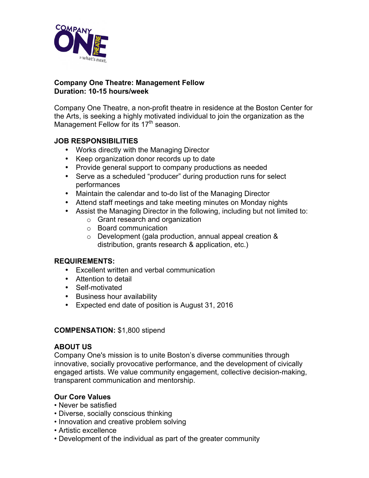

# **Company One Theatre: Management Fellow Duration: 10-15 hours/week**

Company One Theatre, a non-profit theatre in residence at the Boston Center for the Arts, is seeking a highly motivated individual to join the organization as the Management Fellow for its 17<sup>th</sup> season.

# **JOB RESPONSIBILITIES**

- Works directly with the Managing Director
- Keep organization donor records up to date
- Provide general support to company productions as needed
- Serve as a scheduled "producer" during production runs for select performances
- Maintain the calendar and to-do list of the Managing Director
- Attend staff meetings and take meeting minutes on Monday nights
- Assist the Managing Director in the following, including but not limited to:
	- o Grant research and organization
	- o Board communication
	- o Development (gala production, annual appeal creation & distribution, grants research & application, etc.)

# **REQUIREMENTS:**

- Excellent written and verbal communication
- Attention to detail
- Self-motivated
- Business hour availability
- Expected end date of position is August 31, 2016

#### **COMPENSATION:** \$1,800 stipend

#### **ABOUT US**

Company One's mission is to unite Boston's diverse communities through innovative, socially provocative performance, and the development of civically engaged artists. We value community engagement, collective decision-making, transparent communication and mentorship.

# **Our Core Values**

- Never be satisfied
- Diverse, socially conscious thinking
- Innovation and creative problem solving
- Artistic excellence
- Development of the individual as part of the greater community